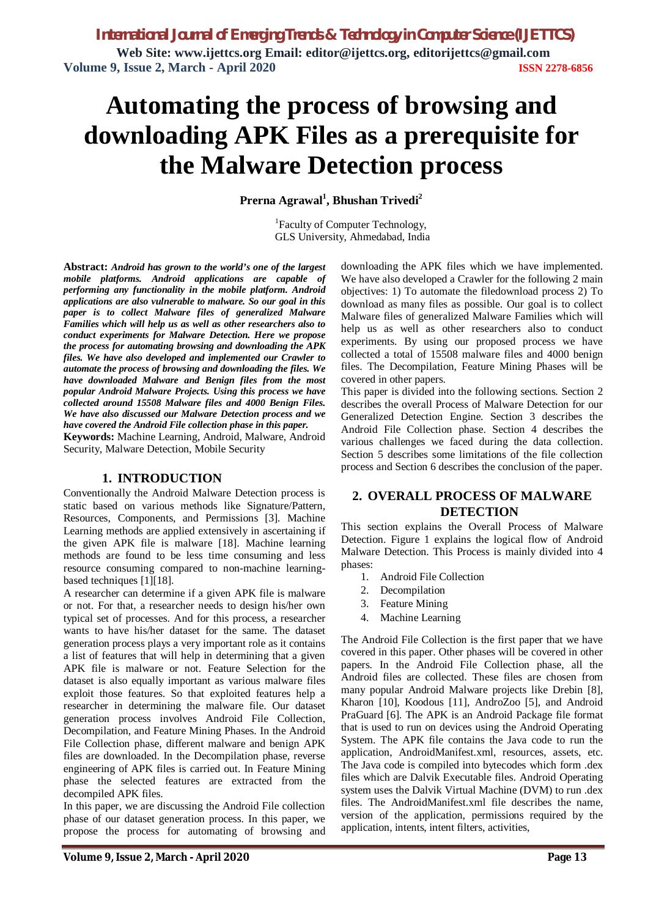# **Automating the process of browsing and downloading APK Files as a prerequisite for the Malware Detection process**

**Prerna Agrawal<sup>1</sup> , Bhushan Trivedi<sup>2</sup>**

<sup>1</sup>Faculty of Computer Technology, GLS University, Ahmedabad, India

**Abstract:** *Android has grown to the world's one of the largest mobile platforms. Android applications are capable of performing any functionality in the mobile platform. Android applications are also vulnerable to malware. So our goal in this paper is to collect Malware files of generalized Malware Families which will help us as well as other researchers also to conduct experiments for Malware Detection. Here we propose the process for automating browsing and downloading the APK files. We have also developed and implemented our Crawler to automate the process of browsing and downloading the files. We have downloaded Malware and Benign files from the most popular Android Malware Projects. Using this process we have collected around 15508 Malware files and 4000 Benign Files. We have also discussed our Malware Detection process and we have covered the Android File collection phase in this paper.*

**Keywords:** Machine Learning, Android, Malware, Android Security, Malware Detection, Mobile Security

#### **1. INTRODUCTION**

Conventionally the Android Malware Detection process is static based on various methods like Signature/Pattern, Resources, Components, and Permissions [3]. Machine Learning methods are applied extensively in ascertaining if the given APK file is malware [18]. Machine learning methods are found to be less time consuming and less resource consuming compared to non-machine learningbased techniques [1][18].

A researcher can determine if a given APK file is malware or not. For that, a researcher needs to design his/her own typical set of processes. And for this process, a researcher wants to have his/her dataset for the same. The dataset generation process plays a very important role as it contains a list of features that will help in determining that a given APK file is malware or not. Feature Selection for the dataset is also equally important as various malware files exploit those features. So that exploited features help a researcher in determining the malware file. Our dataset generation process involves Android File Collection, Decompilation, and Feature Mining Phases. In the Android File Collection phase, different malware and benign APK files are downloaded. In the Decompilation phase, reverse engineering of APK files is carried out. In Feature Mining phase the selected features are extracted from the decompiled APK files.

In this paper, we are discussing the Android File collection phase of our dataset generation process. In this paper, we propose the process for automating of browsing and downloading the APK files which we have implemented. We have also developed a Crawler for the following 2 main objectives: 1) To automate the filedownload process 2) To download as many files as possible. Our goal is to collect Malware files of generalized Malware Families which will help us as well as other researchers also to conduct experiments. By using our proposed process we have collected a total of 15508 malware files and 4000 benign files. The Decompilation, Feature Mining Phases will be covered in other papers.

This paper is divided into the following sections. Section 2 describes the overall Process of Malware Detection for our Generalized Detection Engine. Section 3 describes the Android File Collection phase. Section 4 describes the various challenges we faced during the data collection. Section 5 describes some limitations of the file collection process and Section 6 describes the conclusion of the paper.

## **2. OVERALL PROCESS OF MALWARE DETECTION**

This section explains the Overall Process of Malware Detection. Figure 1 explains the logical flow of Android Malware Detection. This Process is mainly divided into 4 phases:

- 1. Android File Collection
- 2. Decompilation
- 3. Feature Mining
- 4. Machine Learning

The Android File Collection is the first paper that we have covered in this paper. Other phases will be covered in other papers. In the Android File Collection phase, all the Android files are collected. These files are chosen from many popular Android Malware projects like Drebin [8], Kharon [10], Koodous [11], AndroZoo [5], and Android PraGuard [6]. The APK is an Android Package file format that is used to run on devices using the Android Operating System. The APK file contains the Java code to run the application, AndroidManifest.xml, resources, assets, etc. The Java code is compiled into bytecodes which form .dex files which are Dalvik Executable files. Android Operating system uses the Dalvik Virtual Machine (DVM) to run .dex files. The AndroidManifest.xml file describes the name, version of the application, permissions required by the application, intents, intent filters, activities,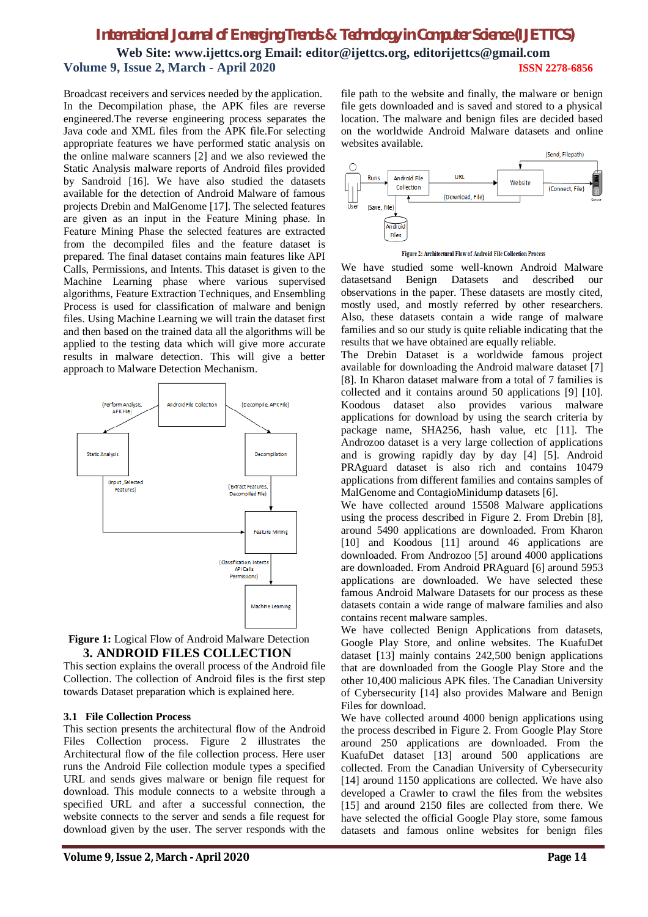# *International Journal of Emerging Trends & Technology in Computer Science (IJETTCS)* **Web Site: www.ijettcs.org Email: editor@ijettcs.org, [editorijettcs@gmail.com](mailto:editorijettcs@gmail.com)  Volume 9, Issue 2, March - April 2020 ISSN 2278-6856**

Broadcast receivers and services needed by the application. In the Decompilation phase, the APK files are reverse engineered.The reverse engineering process separates the Java code and XML files from the APK file.For selecting appropriate features we have performed static analysis on the online malware scanners [2] and we also reviewed the Static Analysis malware reports of Android files provided by Sandroid [16]. We have also studied the datasets available for the detection of Android Malware of famous projects Drebin and MalGenome [17]. The selected features are given as an input in the Feature Mining phase. In Feature Mining Phase the selected features are extracted from the decompiled files and the feature dataset is prepared. The final dataset contains main features like API Calls, Permissions, and Intents. This dataset is given to the Machine Learning phase where various supervised algorithms, Feature Extraction Techniques, and Ensembling Process is used for classification of malware and benign files. Using Machine Learning we will train the dataset first and then based on the trained data all the algorithms will be applied to the testing data which will give more accurate results in malware detection. This will give a better approach to Malware Detection Mechanism.



#### **Figure 1:** Logical Flow of Android Malware Detection **3. ANDROID FILES COLLECTION**

This section explains the overall process of the Android file Collection. The collection of Android files is the first step towards Dataset preparation which is explained here.

#### **3.1 File Collection Process**

This section presents the architectural flow of the Android Files Collection process. Figure 2 illustrates the Architectural flow of the file collection process. Here user runs the Android File collection module types a specified URL and sends gives malware or benign file request for download. This module connects to a website through a specified URL and after a successful connection, the website connects to the server and sends a file request for download given by the user. The server responds with the

file path to the website and finally, the malware or benign file gets downloaded and is saved and stored to a physical location. The malware and benign files are decided based on the worldwide Android Malware datasets and online websites available.





We have studied some well-known Android Malware datasetsand Benign Datasets and described our observations in the paper. These datasets are mostly cited, mostly used, and mostly referred by other researchers. Also, these datasets contain a wide range of malware families and so our study is quite reliable indicating that the results that we have obtained are equally reliable.

The Drebin Dataset is a worldwide famous project available for downloading the Android malware dataset [7] [8]. In Kharon dataset malware from a total of 7 families is collected and it contains around 50 applications [9] [10]. Koodous dataset also provides various malware applications for download by using the search criteria by package name, SHA256, hash value, etc [11]. The Androzoo dataset is a very large collection of applications and is growing rapidly day by day [4] [5]. Android PRAguard dataset is also rich and contains 10479 applications from different families and contains samples of MalGenome and ContagioMinidump datasets [6].

We have collected around 15508 Malware applications using the process described in Figure 2. From Drebin [8], around 5490 applications are downloaded. From Kharon [10] and Koodous [11] around 46 applications are downloaded. From Androzoo [5] around 4000 applications are downloaded. From Android PRAguard [6] around 5953 applications are downloaded. We have selected these famous Android Malware Datasets for our process as these datasets contain a wide range of malware families and also contains recent malware samples.

We have collected Benign Applications from datasets, Google Play Store, and online websites. The KuafuDet dataset [13] mainly contains 242,500 benign applications that are downloaded from the Google Play Store and the other 10,400 malicious APK files. The Canadian University of Cybersecurity [14] also provides Malware and Benign Files for download.

We have collected around 4000 benign applications using the process described in Figure 2. From Google Play Store around 250 applications are downloaded. From the KuafuDet dataset [13] around 500 applications are collected. From the Canadian University of Cybersecurity [14] around 1150 applications are collected. We have also developed a Crawler to crawl the files from the websites [15] and around 2150 files are collected from there. We have selected the official Google Play store, some famous datasets and famous online websites for benign files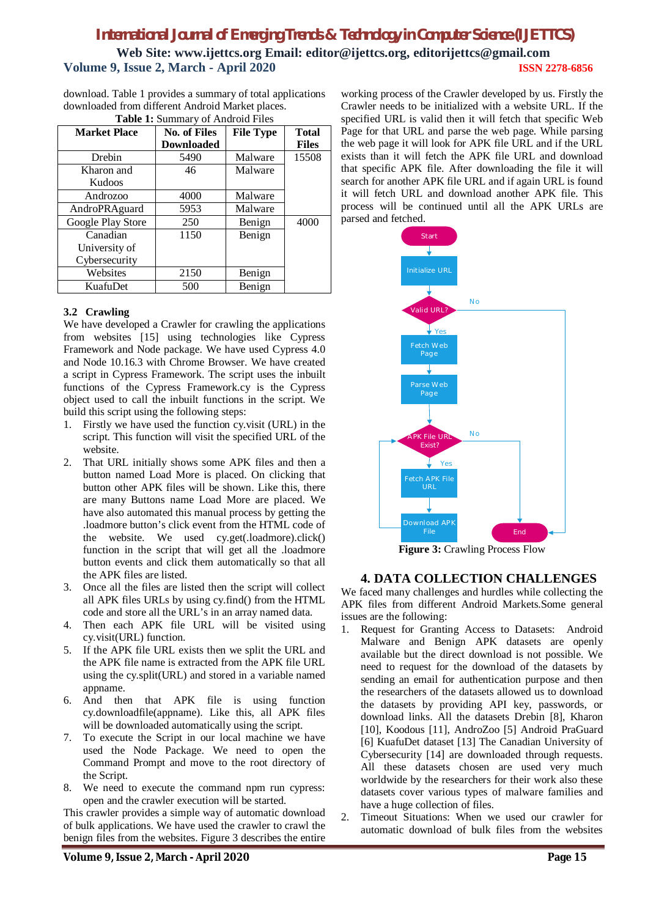# *International Journal of Emerging Trends & Technology in Computer Science (IJETTCS)* **Web Site: www.ijettcs.org Email: editor@ijettcs.org, [editorijettcs@gmail.com](mailto:editorijettcs@gmail.com)  Volume 9, Issue 2, March - April 2020 ISSN 2278-6856**

download. Table 1 provides a summary of total applications downloaded from different Android Market places. **Table 1:** Summary of Android Files

| <b>rable 1.</b> Summary or Allargia Piles |                   |                  |              |
|-------------------------------------------|-------------------|------------------|--------------|
| <b>Market Place</b>                       | No. of Files      | <b>File Type</b> | <b>Total</b> |
|                                           | <b>Downloaded</b> |                  | <b>Files</b> |
| Drebin                                    | 5490              | Malware          | 15508        |
| Kharon and                                | 46                | Malware          |              |
| Kudoos                                    |                   |                  |              |
| Androzoo                                  | 4000              | Malware          |              |
| AndroPRAguard                             | 5953              | Malware          |              |
| Google Play Store                         | 250               | Benign           | 4000         |
| Canadian                                  | 1150              | Benign           |              |
| University of                             |                   |                  |              |
| Cybersecurity                             |                   |                  |              |
| Websites                                  | 2150              | Benign           |              |
| KuafuDet                                  | 500               | Benign           |              |

#### **3.2 Crawling**

We have developed a Crawler for crawling the applications from websites [15] using technologies like Cypress Framework and Node package. We have used Cypress 4.0 and Node 10.16.3 with Chrome Browser. We have created a script in Cypress Framework. The script uses the inbuilt functions of the Cypress Framework.cy is the Cypress object used to call the inbuilt functions in the script. We build this script using the following steps:

- 1. Firstly we have used the function cy.visit (URL) in the script. This function will visit the specified URL of the website.
- 2. That URL initially shows some APK files and then a button named Load More is placed. On clicking that button other APK files will be shown. Like this, there are many Buttons name Load More are placed. We have also automated this manual process by getting the .loadmore button's click event from the HTML code of the website. We used cy.get(.loadmore).click() function in the script that will get all the .loadmore button events and click them automatically so that all the APK files are listed.
- 3. Once all the files are listed then the script will collect all APK files URLs by using cy.find() from the HTML code and store all the URL's in an array named data.
- 4. Then each APK file URL will be visited using cy.visit(URL) function.
- 5. If the APK file URL exists then we split the URL and the APK file name is extracted from the APK file URL using the cy.split(URL) and stored in a variable named appname.
- 6. And then that APK file is using function cy.downloadfile(appname). Like this, all APK files will be downloaded automatically using the script.
- 7. To execute the Script in our local machine we have used the Node Package. We need to open the Command Prompt and move to the root directory of the Script.
- 8. We need to execute the command npm run cypress: open and the crawler execution will be started.

This crawler provides a simple way of automatic download of bulk applications. We have used the crawler to crawl the benign files from the websites. Figure 3 describes the entire

working process of the Crawler developed by us. Firstly the Crawler needs to be initialized with a website URL. If the specified URL is valid then it will fetch that specific Web Page for that URL and parse the web page. While parsing the web page it will look for APK file URL and if the URL exists than it will fetch the APK file URL and download that specific APK file. After downloading the file it will search for another APK file URL and if again URL is found it will fetch URL and download another APK file. This process will be continued until all the APK URLs are parsed and fetched.



**Figure 3:** Crawling Process Flow

#### **4. DATA COLLECTION CHALLENGES**

We faced many challenges and hurdles while collecting the APK files from different Android Markets.Some general issues are the following:

- 1. Request for Granting Access to Datasets: Android Malware and Benign APK datasets are openly available but the direct download is not possible. We need to request for the download of the datasets by sending an email for authentication purpose and then the researchers of the datasets allowed us to download the datasets by providing API key, passwords, or download links. All the datasets Drebin [8], Kharon [10], Koodous [11], AndroZoo [5] Android PraGuard [6] KuafuDet dataset [13] The Canadian University of Cybersecurity [14] are downloaded through requests. All these datasets chosen are used very much worldwide by the researchers for their work also these datasets cover various types of malware families and have a huge collection of files.
- 2. Timeout Situations: When we used our crawler for automatic download of bulk files from the websites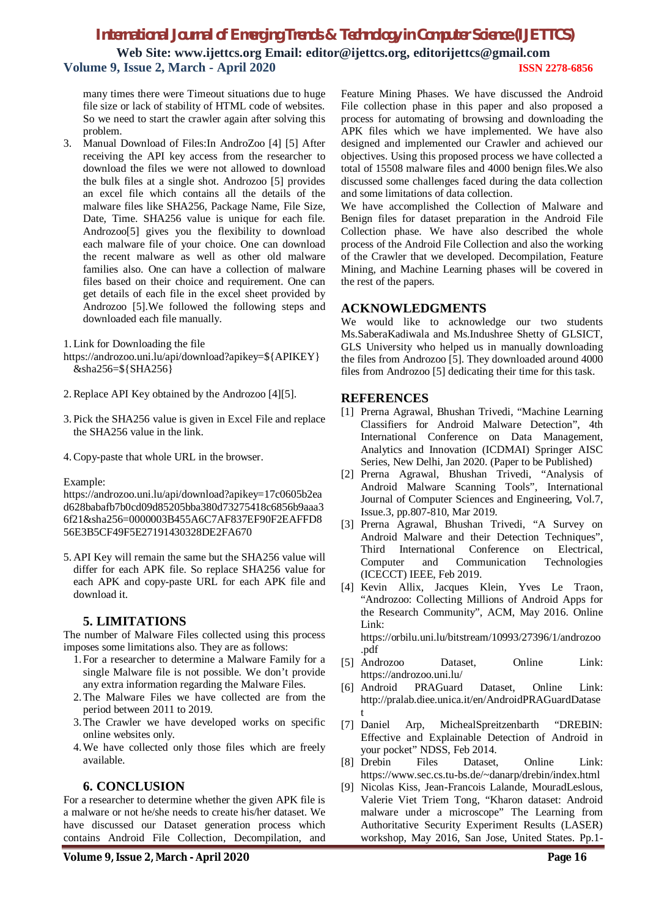## *International Journal of Emerging Trends & Technology in Computer Science (IJETTCS)* **Web Site: www.ijettcs.org Email: editor@ijettcs.org, [editorijettcs@gmail.com](mailto:editorijettcs@gmail.com)**

**Volume 9, Issue 2, March - April 2020 ISSN 2278-6856**

many times there were Timeout situations due to huge file size or lack of stability of HTML code of websites. So we need to start the crawler again after solving this problem.

3. Manual Download of Files:In AndroZoo [4] [5] After receiving the API key access from the researcher to download the files we were not allowed to download the bulk files at a single shot. Androzoo [5] provides an excel file which contains all the details of the malware files like SHA256, Package Name, File Size, Date, Time. SHA256 value is unique for each file. Androzoo[5] gives you the flexibility to download each malware file of your choice. One can download the recent malware as well as other old malware families also. One can have a collection of malware files based on their choice and requirement. One can get details of each file in the excel sheet provided by Androzoo [5].We followed the following steps and downloaded each file manually.

1. Link for Downloading the file

[https://androzoo.uni.lu/api/download?apikey=\\${](https://androzoo.uni.lu/api/download?apikey=$)APIKEY} &sha256=\${SHA256}

- 2.Replace API Key obtained by the Androzoo [4][5].
- 3. Pick the SHA256 value is given in Excel File and replace the SHA256 value in the link.
- 4.Copy-paste that whole URL in the browser.

Example:

<https://androzoo.uni.lu/api/download?apikey=17c0605b2ea> d628babafb7b0cd09d85205bba380d73275418c6856b9aaa3 6f21&sha256=0000003B455A6C7AF837EF90F2EAFFD8 56E3B5CF49F5E27191430328DE2FA670

5. API Key will remain the same but the SHA256 value will differ for each APK file. So replace SHA256 value for each APK and copy-paste URL for each APK file and download it.

## **5. LIMITATIONS**

The number of Malware Files collected using this process imposes some limitations also. They are as follows:

- 1.For a researcher to determine a Malware Family for a single Malware file is not possible. We don't provide any extra information regarding the Malware Files.
- 2.The Malware Files we have collected are from the period between 2011 to 2019.
- 3.The Crawler we have developed works on specific online websites only.
- 4.We have collected only those files which are freely available.

### **6. CONCLUSION**

For a researcher to determine whether the given APK file is a malware or not he/she needs to create his/her dataset. We have discussed our Dataset generation process which contains Android File Collection, Decompilation, and

Feature Mining Phases. We have discussed the Android File collection phase in this paper and also proposed a process for automating of browsing and downloading the APK files which we have implemented. We have also designed and implemented our Crawler and achieved our objectives. Using this proposed process we have collected a total of 15508 malware files and 4000 benign files.We also discussed some challenges faced during the data collection and some limitations of data collection.

We have accomplished the Collection of Malware and Benign files for dataset preparation in the Android File Collection phase. We have also described the whole process of the Android File Collection and also the working of the Crawler that we developed. Decompilation, Feature Mining, and Machine Learning phases will be covered in the rest of the papers.

#### **ACKNOWLEDGMENTS**

We would like to acknowledge our two students Ms.SaberaKadiwala and Ms.Indushree Shetty of GLSICT, GLS University who helped us in manually downloading the files from Androzoo [5]. They downloaded around 4000 files from Androzoo [5] dedicating their time for this task.

#### **REFERENCES**

- [1] Prerna Agrawal, Bhushan Trivedi, "Machine Learning Classifiers for Android Malware Detection", 4th International Conference on Data Management, Analytics and Innovation (ICDMAI) Springer AISC Series, New Delhi, Jan 2020. (Paper to be Published)
- [2] Prerna Agrawal, Bhushan Trivedi, "Analysis of Android Malware Scanning Tools", International Journal of Computer Sciences and Engineering, Vol.7, Issue.3, pp.807-810, Mar 2019.
- [3] Prerna Agrawal, Bhushan Trivedi, "A Survey on Android Malware and their Detection Techniques", Third International Conference on Electrical, Computer and Communication Technologies (ICECCT) IEEE, Feb 2019.
- [4] Kevin Allix, Jacques Klein, Yves Le Traon, "Androzoo: Collecting Millions of Android Apps for the Research Community", ACM, May 2016. Online Link:

<https://orbilu.uni.lu/bitstream/10993/27396/1/androzoo> .pdf

- [5] Androzoo Dataset, Online Link: <https://androzoo.uni.lu/>
- [6] Android PRAGuard Dataset, Online Link: <http://pralab.diee.unica.it/en/AndroidPRAGuardDatase> t
- [7] Daniel Arp, MichealSpreitzenbarth "DREBIN: Effective and Explainable Detection of Android in your pocket" NDSS, Feb 2014.
- [8] Drebin Files Dataset, Online Link: <https://www.sec.cs.tu-bs.de/~danarp/drebin/index.html>
- [9] Nicolas Kiss, Jean-Francois Lalande, MouradLeslous, Valerie Viet Triem Tong, "Kharon dataset: Android malware under a microscope" The Learning from Authoritative Security Experiment Results (LASER) workshop, May 2016, San Jose, United States. Pp.1-